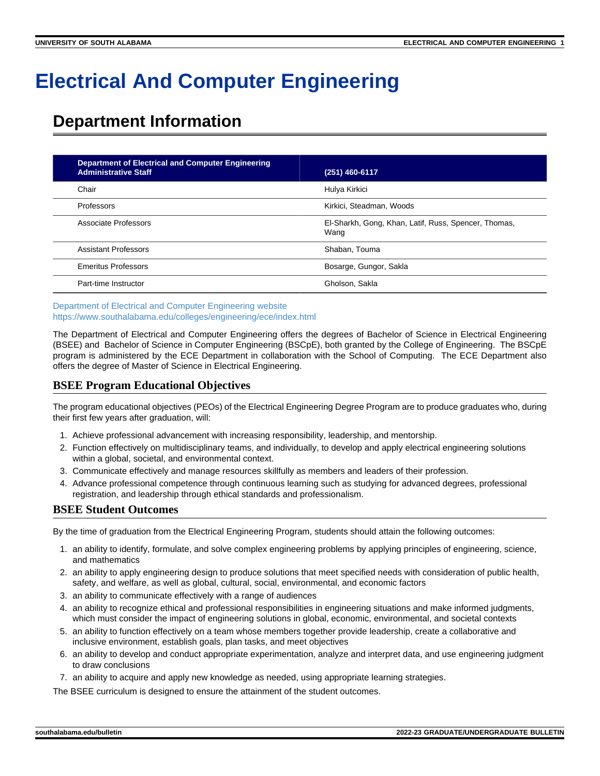# **Electrical And Computer Engineering**

# **Department Information**

| <b>Department of Electrical and Computer Engineering</b><br><b>Administrative Staff</b> | (251) 460-6117                                               |
|-----------------------------------------------------------------------------------------|--------------------------------------------------------------|
| Chair                                                                                   | Hulya Kirkici                                                |
| Professors                                                                              | Kirkici, Steadman, Woods                                     |
| Associate Professors                                                                    | El-Sharkh, Gong, Khan, Latif, Russ, Spencer, Thomas,<br>Wang |
| <b>Assistant Professors</b>                                                             | Shaban, Touma                                                |
| <b>Emeritus Professors</b>                                                              | Bosarge, Gungor, Sakla                                       |
| Part-time Instructor                                                                    | Gholson, Sakla                                               |

[Department of Electrical and Computer Engineering website](https://www.southalabama.edu/colleges/engineering/ece/index.html) <https://www.southalabama.edu/colleges/engineering/ece/index.html>

The Department of Electrical and Computer Engineering offers the degrees of Bachelor of Science in Electrical Engineering (BSEE) and Bachelor of Science in Computer Engineering (BSCpE), both granted by the College of Engineering. The BSCpE program is administered by the ECE Department in collaboration with the School of Computing. The ECE Department also offers the degree of Master of Science in Electrical Engineering.

## **BSEE Program Educational Objectives**

The program educational objectives (PEOs) of the Electrical Engineering Degree Program are to produce graduates who, during their first few years after graduation, will:

- 1. Achieve professional advancement with increasing responsibility, leadership, and mentorship.
- 2. Function effectively on multidisciplinary teams, and individually, to develop and apply electrical engineering solutions within a global, societal, and environmental context.
- 3. Communicate effectively and manage resources skillfully as members and leaders of their profession.
- 4. Advance professional competence through continuous learning such as studying for advanced degrees, professional registration, and leadership through ethical standards and professionalism.

## **BSEE Student Outcomes**

By the time of graduation from the Electrical Engineering Program, students should attain the following outcomes:

- 1. an ability to identify, formulate, and solve complex engineering problems by applying principles of engineering, science, and mathematics
- 2. an ability to apply engineering design to produce solutions that meet specified needs with consideration of public health, safety, and welfare, as well as global, cultural, social, environmental, and economic factors
- 3. an ability to communicate effectively with a range of audiences
- 4. an ability to recognize ethical and professional responsibilities in engineering situations and make informed judgments, which must consider the impact of engineering solutions in global, economic, environmental, and societal contexts
- 5. an ability to function effectively on a team whose members together provide leadership, create a collaborative and inclusive environment, establish goals, plan tasks, and meet objectives
- 6. an ability to develop and conduct appropriate experimentation, analyze and interpret data, and use engineering judgment to draw conclusions
- 7. an ability to acquire and apply new knowledge as needed, using appropriate learning strategies.

The BSEE curriculum is designed to ensure the attainment of the student outcomes.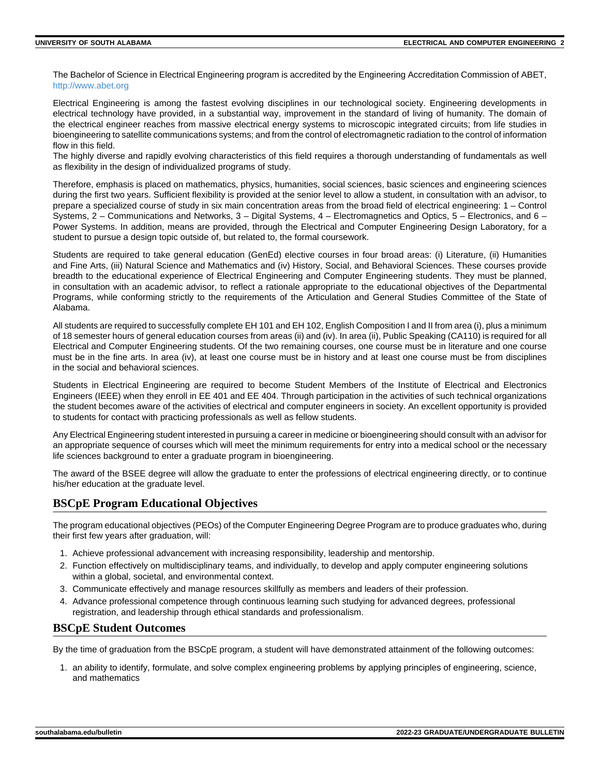The Bachelor of Science in Electrical Engineering program is accredited by the Engineering Accreditation Commission of ABET, <http://www.abet.org>

Electrical Engineering is among the fastest evolving disciplines in our technological society. Engineering developments in electrical technology have provided, in a substantial way, improvement in the standard of living of humanity. The domain of the electrical engineer reaches from massive electrical energy systems to microscopic integrated circuits; from life studies in bioengineering to satellite communications systems; and from the control of electromagnetic radiation to the control of information flow in this field.

The highly diverse and rapidly evolving characteristics of this field requires a thorough understanding of fundamentals as well as flexibility in the design of individualized programs of study.

Therefore, emphasis is placed on mathematics, physics, humanities, social sciences, basic sciences and engineering sciences during the first two years. Sufficient flexibility is provided at the senior level to allow a student, in consultation with an advisor, to prepare a specialized course of study in six main concentration areas from the broad field of electrical engineering: 1 – Control Systems, 2 – Communications and Networks, 3 – Digital Systems, 4 – Electromagnetics and Optics, 5 – Electronics, and 6 – Power Systems. In addition, means are provided, through the Electrical and Computer Engineering Design Laboratory, for a student to pursue a design topic outside of, but related to, the formal coursework.

Students are required to take general education (GenEd) elective courses in four broad areas: (i) Literature, (ii) Humanities and Fine Arts, (iii) Natural Science and Mathematics and (iv) History, Social, and Behavioral Sciences. These courses provide breadth to the educational experience of Electrical Engineering and Computer Engineering students. They must be planned, in consultation with an academic advisor, to reflect a rationale appropriate to the educational objectives of the Departmental Programs, while conforming strictly to the requirements of the Articulation and General Studies Committee of the State of Alabama.

All students are required to successfully complete EH 101 and EH 102, English Composition I and II from area (i), plus a minimum of 18 semester hours of general education courses from areas (ii) and (iv). In area (ii), Public Speaking (CA110) is required for all Electrical and Computer Engineering students. Of the two remaining courses, one course must be in literature and one course must be in the fine arts. In area (iv), at least one course must be in history and at least one course must be from disciplines in the social and behavioral sciences.

Students in Electrical Engineering are required to become Student Members of the Institute of Electrical and Electronics Engineers (IEEE) when they enroll in EE 401 and EE 404. Through participation in the activities of such technical organizations the student becomes aware of the activities of electrical and computer engineers in society. An excellent opportunity is provided to students for contact with practicing professionals as well as fellow students.

Any Electrical Engineering student interested in pursuing a career in medicine or bioengineering should consult with an advisor for an appropriate sequence of courses which will meet the minimum requirements for entry into a medical school or the necessary life sciences background to enter a graduate program in bioengineering.

The award of the BSEE degree will allow the graduate to enter the professions of electrical engineering directly, or to continue his/her education at the graduate level.

## **BSCpE Program Educational Objectives**

The program educational objectives (PEOs) of the Computer Engineering Degree Program are to produce graduates who, during their first few years after graduation, will:

- 1. Achieve professional advancement with increasing responsibility, leadership and mentorship.
- 2. Function effectively on multidisciplinary teams, and individually, to develop and apply computer engineering solutions within a global, societal, and environmental context.
- 3. Communicate effectively and manage resources skillfully as members and leaders of their profession.
- 4. Advance professional competence through continuous learning such studying for advanced degrees, professional registration, and leadership through ethical standards and professionalism.

## **BSCpE Student Outcomes**

By the time of graduation from the BSCpE program, a student will have demonstrated attainment of the following outcomes:

1. an ability to identify, formulate, and solve complex engineering problems by applying principles of engineering, science, and mathematics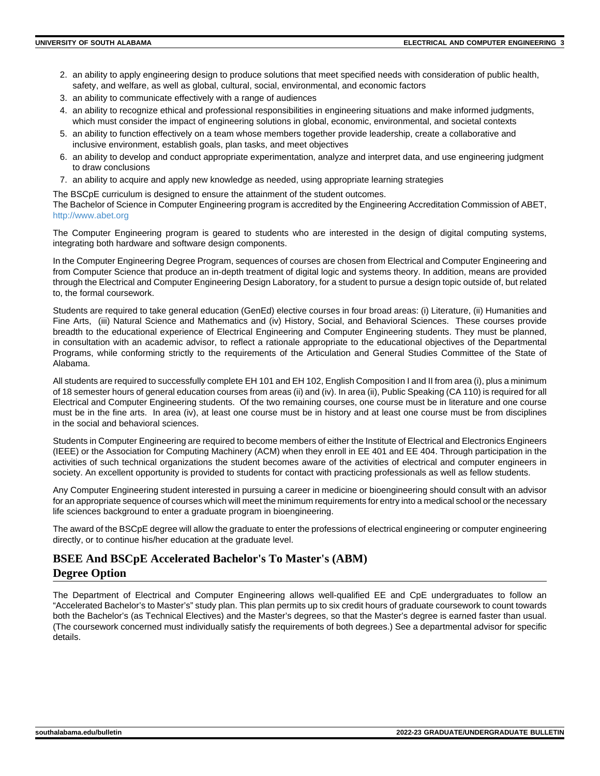- 2. an ability to apply engineering design to produce solutions that meet specified needs with consideration of public health, safety, and welfare, as well as global, cultural, social, environmental, and economic factors
- 3. an ability to communicate effectively with a range of audiences
- 4. an ability to recognize ethical and professional responsibilities in engineering situations and make informed judgments, which must consider the impact of engineering solutions in global, economic, environmental, and societal contexts
- 5. an ability to function effectively on a team whose members together provide leadership, create a collaborative and inclusive environment, establish goals, plan tasks, and meet objectives
- 6. an ability to develop and conduct appropriate experimentation, analyze and interpret data, and use engineering judgment to draw conclusions
- 7. an ability to acquire and apply new knowledge as needed, using appropriate learning strategies

The BSCpE curriculum is designed to ensure the attainment of the student outcomes.

The Bachelor of Science in Computer Engineering program is accredited by the Engineering Accreditation Commission of ABET, <http://www.abet.org>

The Computer Engineering program is geared to students who are interested in the design of digital computing systems, integrating both hardware and software design components.

In the Computer Engineering Degree Program, sequences of courses are chosen from Electrical and Computer Engineering and from Computer Science that produce an in-depth treatment of digital logic and systems theory. In addition, means are provided through the Electrical and Computer Engineering Design Laboratory, for a student to pursue a design topic outside of, but related to, the formal coursework.

Students are required to take general education (GenEd) elective courses in four broad areas: (i) Literature, (ii) Humanities and Fine Arts, (iii) Natural Science and Mathematics and (iv) History, Social, and Behavioral Sciences. These courses provide breadth to the educational experience of Electrical Engineering and Computer Engineering students. They must be planned, in consultation with an academic advisor, to reflect a rationale appropriate to the educational objectives of the Departmental Programs, while conforming strictly to the requirements of the Articulation and General Studies Committee of the State of Alabama.

All students are required to successfully complete EH 101 and EH 102, English Composition I and II from area (i), plus a minimum of 18 semester hours of general education courses from areas (ii) and (iv). In area (ii), Public Speaking (CA 110) is required for all Electrical and Computer Engineering students. Of the two remaining courses, one course must be in literature and one course must be in the fine arts. In area (iv), at least one course must be in history and at least one course must be from disciplines in the social and behavioral sciences.

Students in Computer Engineering are required to become members of either the Institute of Electrical and Electronics Engineers (IEEE) or the Association for Computing Machinery (ACM) when they enroll in EE 401 and EE 404. Through participation in the activities of such technical organizations the student becomes aware of the activities of electrical and computer engineers in society. An excellent opportunity is provided to students for contact with practicing professionals as well as fellow students.

Any Computer Engineering student interested in pursuing a career in medicine or bioengineering should consult with an advisor for an appropriate sequence of courses which will meet the minimum requirements for entry into a medical school or the necessary life sciences background to enter a graduate program in bioengineering.

The award of the BSCpE degree will allow the graduate to enter the professions of electrical engineering or computer engineering directly, or to continue his/her education at the graduate level.

## **BSEE And BSCpE Accelerated Bachelor's To Master's (ABM) Degree Option**

The Department of Electrical and Computer Engineering allows well-qualified EE and CpE undergraduates to follow an "Accelerated Bachelor's to Master's" study plan. This plan permits up to six credit hours of graduate coursework to count towards both the Bachelor's (as Technical Electives) and the Master's degrees, so that the Master's degree is earned faster than usual. (The coursework concerned must individually satisfy the requirements of both degrees.) See a departmental advisor for specific details.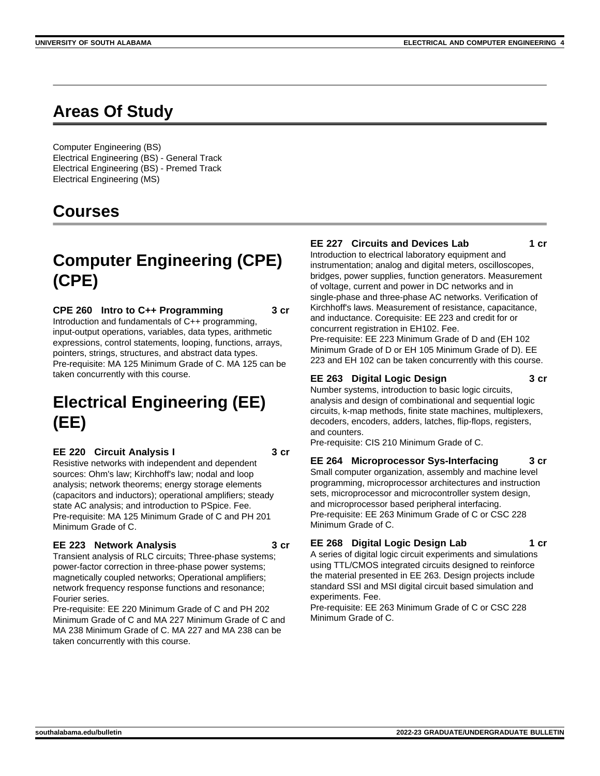# **Areas Of Study**

Computer Engineering (BS) Electrical Engineering (BS) - General Track Electrical Engineering (BS) - Premed Track Electrical Engineering (MS)

## **Courses**

# **Computer Engineering (CPE) (CPE)**

**CPE 260 Intro to C++ Programming 3 cr** Introduction and fundamentals of C++ programming, input-output operations, variables, data types, arithmetic expressions, control statements, looping, functions, arrays, pointers, strings, structures, and abstract data types. Pre-requisite: MA 125 Minimum Grade of C. MA 125 can be taken concurrently with this course.

# **Electrical Engineering (EE) (EE)**

**EE 220 Circuit Analysis I 3 cr**

Resistive networks with independent and dependent sources: Ohm's law; Kirchhoff's law; nodal and loop analysis; network theorems; energy storage elements (capacitors and inductors); operational amplifiers; steady state AC analysis; and introduction to PSpice. Fee. Pre-requisite: MA 125 Minimum Grade of C and PH 201 Minimum Grade of C.

#### **EE 223 Network Analysis 3 cr**

Transient analysis of RLC circuits; Three-phase systems; power-factor correction in three-phase power systems; magnetically coupled networks; Operational amplifiers; network frequency response functions and resonance; Fourier series.

Pre-requisite: EE 220 Minimum Grade of C and PH 202 Minimum Grade of C and MA 227 Minimum Grade of C and MA 238 Minimum Grade of C. MA 227 and MA 238 can be taken concurrently with this course.

#### **EE 227 Circuits and Devices Lab 1 cr**

Introduction to electrical laboratory equipment and instrumentation; analog and digital meters, oscilloscopes, bridges, power supplies, function generators. Measurement of voltage, current and power in DC networks and in single-phase and three-phase AC networks. Verification of Kirchhoff's laws. Measurement of resistance, capacitance, and inductance. Corequisite: EE 223 and credit for or concurrent registration in EH102. Fee. Pre-requisite: EE 223 Minimum Grade of D and (EH 102 Minimum Grade of D or EH 105 Minimum Grade of D). EE 223 and EH 102 can be taken concurrently with this course.

## **EE 263 Digital Logic Design 3 cr**

Number systems, introduction to basic logic circuits, analysis and design of combinational and sequential logic circuits, k-map methods, finite state machines, multiplexers, decoders, encoders, adders, latches, flip-flops, registers, and counters.

Pre-requisite: CIS 210 Minimum Grade of C.

#### **EE 264 Microprocessor Sys-Interfacing 3 cr** Small computer organization, assembly and machine level programming, microprocessor architectures and instruction sets, microprocessor and microcontroller system design, and microprocessor based peripheral interfacing. Pre-requisite: EE 263 Minimum Grade of C or CSC 228 Minimum Grade of C.

#### **EE 268 Digital Logic Design Lab 1 cr**

A series of digital logic circuit experiments and simulations using TTL/CMOS integrated circuits designed to reinforce the material presented in EE 263. Design projects include standard SSI and MSI digital circuit based simulation and experiments. Fee.

Pre-requisite: EE 263 Minimum Grade of C or CSC 228 Minimum Grade of C.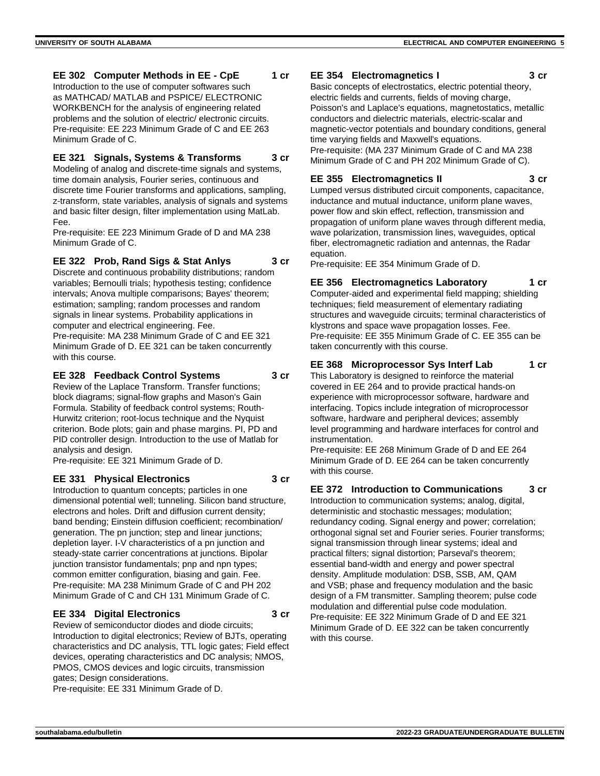#### **EE 302 Computer Methods in EE - CpE 1 cr**

Introduction to the use of computer softwares such as MATHCAD/ MATLAB and PSPICE/ ELECTRONIC WORKBENCH for the analysis of engineering related problems and the solution of electric/ electronic circuits. Pre-requisite: EE 223 Minimum Grade of C and EE 263 Minimum Grade of C.

#### **EE 321 Signals, Systems & Transforms 3 cr**

Modeling of analog and discrete-time signals and systems, time domain analysis, Fourier series, continuous and discrete time Fourier transforms and applications, sampling, z-transform, state variables, analysis of signals and systems and basic filter design, filter implementation using MatLab. Fee.

Pre-requisite: EE 223 Minimum Grade of D and MA 238 Minimum Grade of C.

#### **EE 322 Prob, Rand Sigs & Stat Anlys 3 cr**

Discrete and continuous probability distributions; random variables; Bernoulli trials; hypothesis testing; confidence intervals; Anova multiple comparisons; Bayes' theorem; estimation; sampling; random processes and random signals in linear systems. Probability applications in computer and electrical engineering. Fee. Pre-requisite: MA 238 Minimum Grade of C and EE 321 Minimum Grade of D. EE 321 can be taken concurrently with this course.

## **EE 328 Feedback Control Systems 3 cr**

Review of the Laplace Transform. Transfer functions; block diagrams; signal-flow graphs and Mason's Gain Formula. Stability of feedback control systems; Routh-Hurwitz criterion; root-locus technique and the Nyquist criterion. Bode plots; gain and phase margins. PI, PD and PID controller design. Introduction to the use of Matlab for analysis and design.

Pre-requisite: EE 321 Minimum Grade of D.

#### **EE 331 Physical Electronics 3 cr**

Introduction to quantum concepts; particles in one dimensional potential well; tunneling. Silicon band structure, electrons and holes. Drift and diffusion current density; band bending; Einstein diffusion coefficient; recombination/ generation. The pn junction; step and linear junctions; depletion layer. I-V characteristics of a pn junction and steady-state carrier concentrations at junctions. Bipolar junction transistor fundamentals; pnp and npn types; common emitter configuration, biasing and gain. Fee. Pre-requisite: MA 238 Minimum Grade of C and PH 202 Minimum Grade of C and CH 131 Minimum Grade of C.

#### **EE 334 Digital Electronics 3 cr**

Review of semiconductor diodes and diode circuits; Introduction to digital electronics; Review of BJTs, operating characteristics and DC analysis, TTL logic gates; Field effect devices, operating characteristics and DC analysis; NMOS, PMOS, CMOS devices and logic circuits, transmission gates; Design considerations. Pre-requisite: EE 331 Minimum Grade of D.

#### **EE 354 Electromagnetics I 3 cr**

Basic concepts of electrostatics, electric potential theory, electric fields and currents, fields of moving charge, Poisson's and Laplace's equations, magnetostatics, metallic conductors and dielectric materials, electric-scalar and magnetic-vector potentials and boundary conditions, general time varying fields and Maxwell's equations.

Pre-requisite: (MA 237 Minimum Grade of C and MA 238 Minimum Grade of C and PH 202 Minimum Grade of C).

#### **EE 355 Electromagnetics II 3 cr**

Lumped versus distributed circuit components, capacitance, inductance and mutual inductance, uniform plane waves, power flow and skin effect, reflection, transmission and propagation of uniform plane waves through different media, wave polarization, transmission lines, waveguides, optical fiber, electromagnetic radiation and antennas, the Radar equation.

Pre-requisite: EE 354 Minimum Grade of D.

#### **EE 356 Electromagnetics Laboratory 1 cr** Computer-aided and experimental field mapping; shielding techniques; field measurement of elementary radiating structures and waveguide circuits; terminal characteristics of klystrons and space wave propagation losses. Fee. Pre-requisite: EE 355 Minimum Grade of C. EE 355 can be taken concurrently with this course.

## **EE 368 Microprocessor Sys Interf Lab 1 cr**

This Laboratory is designed to reinforce the material covered in EE 264 and to provide practical hands-on experience with microprocessor software, hardware and interfacing. Topics include integration of microprocessor software, hardware and peripheral devices; assembly level programming and hardware interfaces for control and instrumentation.

Pre-requisite: EE 268 Minimum Grade of D and EE 264 Minimum Grade of D. EE 264 can be taken concurrently with this course.

#### **EE 372 Introduction to Communications 3 cr**

Introduction to communication systems; analog, digital, deterministic and stochastic messages; modulation; redundancy coding. Signal energy and power; correlation; orthogonal signal set and Fourier series. Fourier transforms; signal transmission through linear systems; ideal and practical filters; signal distortion; Parseval's theorem; essential band-width and energy and power spectral density. Amplitude modulation: DSB, SSB, AM, QAM and VSB; phase and frequency modulation and the basic design of a FM transmitter. Sampling theorem; pulse code modulation and differential pulse code modulation. Pre-requisite: EE 322 Minimum Grade of D and EE 321 Minimum Grade of D. EE 322 can be taken concurrently with this course.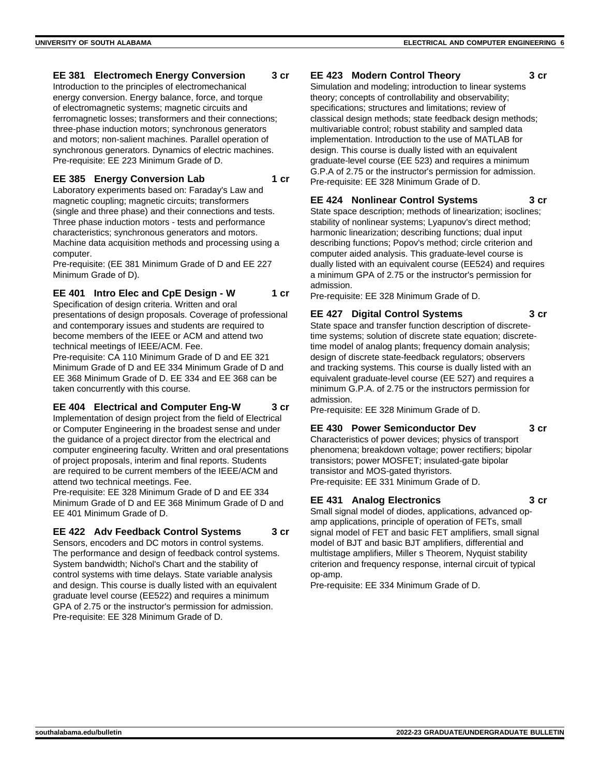#### **EE 381 Electromech Energy Conversion 3 cr**

Introduction to the principles of electromechanical energy conversion. Energy balance, force, and torque of electromagnetic systems; magnetic circuits and ferromagnetic losses; transformers and their connections; three-phase induction motors; synchronous generators and motors; non-salient machines. Parallel operation of synchronous generators. Dynamics of electric machines. Pre-requisite: EE 223 Minimum Grade of D.

#### **EE 385 Energy Conversion Lab 1 cr**

Laboratory experiments based on: Faraday's Law and magnetic coupling; magnetic circuits; transformers (single and three phase) and their connections and tests. Three phase induction motors - tests and performance characteristics; synchronous generators and motors. Machine data acquisition methods and processing using a computer.

Pre-requisite: (EE 381 Minimum Grade of D and EE 227 Minimum Grade of D).

## **EE 401 Intro Elec and CpE Design - W 1 cr**

Specification of design criteria. Written and oral presentations of design proposals. Coverage of professional and contemporary issues and students are required to become members of the IEEE or ACM and attend two technical meetings of IEEE/ACM. Fee.

Pre-requisite: CA 110 Minimum Grade of D and EE 321 Minimum Grade of D and EE 334 Minimum Grade of D and EE 368 Minimum Grade of D. EE 334 and EE 368 can be taken concurrently with this course.

#### **EE 404 Electrical and Computer Eng-W 3 cr**

Implementation of design project from the field of Electrical or Computer Engineering in the broadest sense and under the guidance of a project director from the electrical and computer engineering faculty. Written and oral presentations of project proposals, interim and final reports. Students are required to be current members of the IEEE/ACM and attend two technical meetings. Fee.

Pre-requisite: EE 328 Minimum Grade of D and EE 334 Minimum Grade of D and EE 368 Minimum Grade of D and EE 401 Minimum Grade of D.

#### **EE 422 Adv Feedback Control Systems 3 cr**

Sensors, encoders and DC motors in control systems. The performance and design of feedback control systems. System bandwidth; Nichol's Chart and the stability of control systems with time delays. State variable analysis and design. This course is dually listed with an equivalent graduate level course (EE522) and requires a minimum GPA of 2.75 or the instructor's permission for admission. Pre-requisite: EE 328 Minimum Grade of D.

## **EE 423 Modern Control Theory 3 cr**

Simulation and modeling; introduction to linear systems theory; concepts of controllability and observability; specifications; structures and limitations; review of classical design methods; state feedback design methods; multivariable control; robust stability and sampled data implementation. Introduction to the use of MATLAB for design. This course is dually listed with an equivalent graduate-level course (EE 523) and requires a minimum G.P.A of 2.75 or the instructor's permission for admission. Pre-requisite: EE 328 Minimum Grade of D.

## **EE 424 Nonlinear Control Systems 3 cr**

State space description; methods of linearization; isoclines; stability of nonlinear systems; Lyapunov's direct method; harmonic linearization; describing functions; dual input describing functions; Popov's method; circle criterion and computer aided analysis. This graduate-level course is dually listed with an equivalent course (EE524) and requires a minimum GPA of 2.75 or the instructor's permission for admission.

Pre-requisite: EE 328 Minimum Grade of D.

#### **EE 427 Digital Control Systems 3 cr**

State space and transfer function description of discretetime systems; solution of discrete state equation; discretetime model of analog plants; frequency domain analysis; design of discrete state-feedback regulators; observers and tracking systems. This course is dually listed with an equivalent graduate-level course (EE 527) and requires a minimum G.P.A. of 2.75 or the instructors permission for admission.

Pre-requisite: EE 328 Minimum Grade of D.

#### **EE 430 Power Semiconductor Dev 3 cr**

Characteristics of power devices; physics of transport phenomena; breakdown voltage; power rectifiers; bipolar transistors; power MOSFET; insulated-gate bipolar transistor and MOS-gated thyristors. Pre-requisite: EE 331 Minimum Grade of D.

#### **EE 431 Analog Electronics 3 cr**

Small signal model of diodes, applications, advanced opamp applications, principle of operation of FETs, small signal model of FET and basic FET amplifiers, small signal model of BJT and basic BJT amplifiers, differential and multistage amplifiers, Miller s Theorem, Nyquist stability criterion and frequency response, internal circuit of typical op-amp.

Pre-requisite: EE 334 Minimum Grade of D.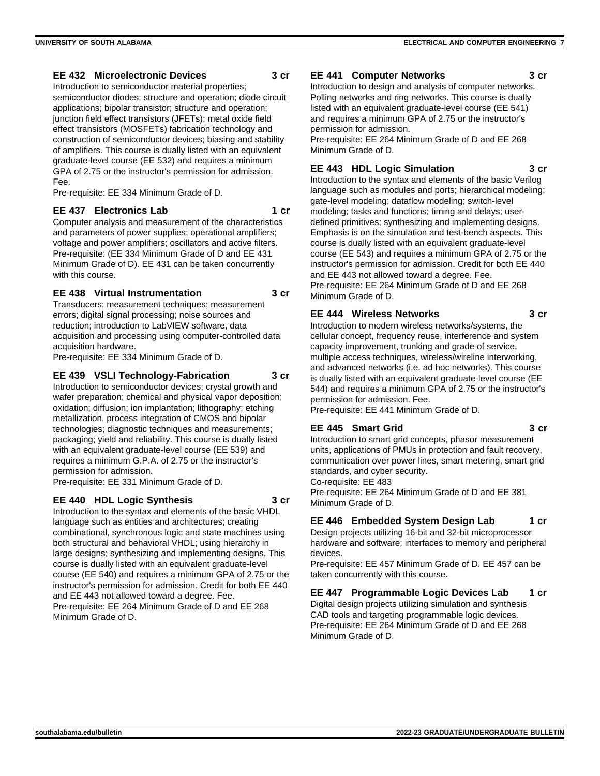#### **EE 432 Microelectronic Devices 3 cr**

Introduction to semiconductor material properties; semiconductor diodes; structure and operation; diode circuit applications; bipolar transistor; structure and operation; junction field effect transistors (JFETs); metal oxide field effect transistors (MOSFETs) fabrication technology and construction of semiconductor devices; biasing and stability of amplifiers. This course is dually listed with an equivalent graduate-level course (EE 532) and requires a minimum GPA of 2.75 or the instructor's permission for admission. Fee.

Pre-requisite: EE 334 Minimum Grade of D.

#### **EE 437 Electronics Lab 1 cr**

Computer analysis and measurement of the characteristics and parameters of power supplies; operational amplifiers; voltage and power amplifiers; oscillators and active filters. Pre-requisite: (EE 334 Minimum Grade of D and EE 431 Minimum Grade of D). EE 431 can be taken concurrently with this course.

#### **EE 438 Virtual Instrumentation 3 cr**

Transducers; measurement techniques; measurement errors; digital signal processing; noise sources and reduction; introduction to LabVIEW software, data acquisition and processing using computer-controlled data acquisition hardware.

Pre-requisite: EE 334 Minimum Grade of D.

#### **EE 439 VSLI Technology-Fabrication 3 cr**

Introduction to semiconductor devices; crystal growth and wafer preparation; chemical and physical vapor deposition; oxidation; diffusion; ion implantation; lithography; etching metallization, process integration of CMOS and bipolar technologies; diagnostic techniques and measurements; packaging; yield and reliability. This course is dually listed with an equivalent graduate-level course (EE 539) and requires a minimum G.P.A. of 2.75 or the instructor's permission for admission.

Pre-requisite: EE 331 Minimum Grade of D.

#### **EE 440 HDL Logic Synthesis 3 cr**

Introduction to the syntax and elements of the basic VHDL language such as entities and architectures; creating combinational, synchronous logic and state machines using both structural and behavioral VHDL; using hierarchy in large designs; synthesizing and implementing designs. This course is dually listed with an equivalent graduate-level course (EE 540) and requires a minimum GPA of 2.75 or the instructor's permission for admission. Credit for both EE 440 and EE 443 not allowed toward a degree. Fee. Pre-requisite: EE 264 Minimum Grade of D and EE 268 Minimum Grade of D.

#### **EE 441 Computer Networks 3 cr**

Introduction to design and analysis of computer networks. Polling networks and ring networks. This course is dually listed with an equivalent graduate-level course (EE 541) and requires a minimum GPA of 2.75 or the instructor's permission for admission.

Pre-requisite: EE 264 Minimum Grade of D and EE 268 Minimum Grade of D.

#### **EE 443 HDL Logic Simulation 3 cr**

Introduction to the syntax and elements of the basic Verilog language such as modules and ports; hierarchical modeling; gate-level modeling; dataflow modeling; switch-level modeling; tasks and functions; timing and delays; userdefined primitives; synthesizing and implementing designs. Emphasis is on the simulation and test-bench aspects. This course is dually listed with an equivalent graduate-level course (EE 543) and requires a minimum GPA of 2.75 or the instructor's permission for admission. Credit for both EE 440 and EE 443 not allowed toward a degree. Fee. Pre-requisite: EE 264 Minimum Grade of D and EE 268 Minimum Grade of D.

#### **EE 444 Wireless Networks 3 cr**

Introduction to modern wireless networks/systems, the cellular concept, frequency reuse, interference and system capacity improvement, trunking and grade of service, multiple access techniques, wireless/wireline interworking, and advanced networks (i.e. ad hoc networks). This course is dually listed with an equivalent graduate-level course (EE 544) and requires a minimum GPA of 2.75 or the instructor's permission for admission. Fee.

Pre-requisite: EE 441 Minimum Grade of D.

#### **EE 445 Smart Grid 3 cr**

Introduction to smart grid concepts, phasor measurement units, applications of PMUs in protection and fault recovery, communication over power lines, smart metering, smart grid standards, and cyber security.

Co-requisite: EE 483

Pre-requisite: EE 264 Minimum Grade of D and EE 381 Minimum Grade of D.

## **EE 446 Embedded System Design Lab 1 cr**

Design projects utilizing 16-bit and 32-bit microprocessor hardware and software; interfaces to memory and peripheral devices.

Pre-requisite: EE 457 Minimum Grade of D. EE 457 can be taken concurrently with this course.

## **EE 447 Programmable Logic Devices Lab 1 cr**

Digital design projects utilizing simulation and synthesis CAD tools and targeting programmable logic devices. Pre-requisite: EE 264 Minimum Grade of D and EE 268 Minimum Grade of D.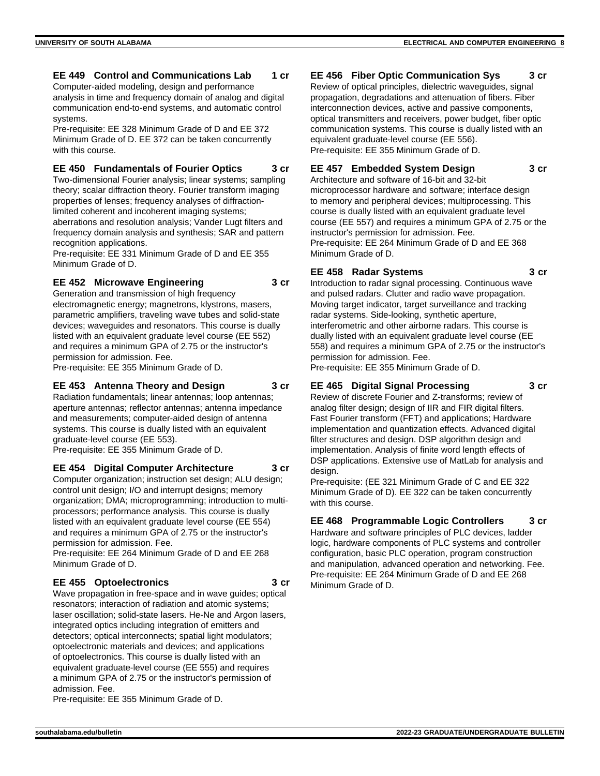#### **EE 449 Control and Communications Lab 1 cr**

Computer-aided modeling, design and performance analysis in time and frequency domain of analog and digital communication end-to-end systems, and automatic control systems.

Pre-requisite: EE 328 Minimum Grade of D and EE 372 Minimum Grade of D. EE 372 can be taken concurrently with this course.

#### **EE 450 Fundamentals of Fourier Optics 3 cr**

Two-dimensional Fourier analysis; linear systems; sampling theory; scalar diffraction theory. Fourier transform imaging properties of lenses; frequency analyses of diffractionlimited coherent and incoherent imaging systems; aberrations and resolution analysis; Vander Lugt filters and frequency domain analysis and synthesis; SAR and pattern recognition applications.

Pre-requisite: EE 331 Minimum Grade of D and EE 355 Minimum Grade of D.

#### **EE 452 Microwave Engineering 3 cr**

Generation and transmission of high frequency electromagnetic energy; magnetrons, klystrons, masers, parametric amplifiers, traveling wave tubes and solid-state devices; waveguides and resonators. This course is dually listed with an equivalent graduate level course (EE 552) and requires a minimum GPA of 2.75 or the instructor's permission for admission. Fee.

Pre-requisite: EE 355 Minimum Grade of D.

#### **EE 453 Antenna Theory and Design 3 cr**

Radiation fundamentals; linear antennas; loop antennas; aperture antennas; reflector antennas; antenna impedance and measurements; computer-aided design of antenna systems. This course is dually listed with an equivalent graduate-level course (EE 553).

Pre-requisite: EE 355 Minimum Grade of D.

#### **EE 454 Digital Computer Architecture 3 cr** Computer organization; instruction set design; ALU design; control unit design; I/O and interrupt designs; memory organization; DMA; microprogramming; introduction to multiprocessors; performance analysis. This course is dually listed with an equivalent graduate level course (EE 554) and requires a minimum GPA of 2.75 or the instructor's permission for admission. Fee.

Pre-requisite: EE 264 Minimum Grade of D and EE 268 Minimum Grade of D.

#### **EE 455 Optoelectronics 3 cr**

Wave propagation in free-space and in wave guides; optical resonators; interaction of radiation and atomic systems; laser oscillation; solid-state lasers. He-Ne and Argon lasers, integrated optics including integration of emitters and detectors; optical interconnects; spatial light modulators; optoelectronic materials and devices; and applications of optoelectronics. This course is dually listed with an equivalent graduate-level course (EE 555) and requires a minimum GPA of 2.75 or the instructor's permission of admission. Fee.

Pre-requisite: EE 355 Minimum Grade of D.

#### **EE 456 Fiber Optic Communication Sys 3 cr**

Review of optical principles, dielectric waveguides, signal propagation, degradations and attenuation of fibers. Fiber interconnection devices, active and passive components, optical transmitters and receivers, power budget, fiber optic communication systems. This course is dually listed with an equivalent graduate-level course (EE 556). Pre-requisite: EE 355 Minimum Grade of D.

## **EE 457 Embedded System Design 3 cr**

Architecture and software of 16-bit and 32-bit microprocessor hardware and software; interface design to memory and peripheral devices; multiprocessing. This course is dually listed with an equivalent graduate level course (EE 557) and requires a minimum GPA of 2.75 or the instructor's permission for admission. Fee. Pre-requisite: EE 264 Minimum Grade of D and EE 368 Minimum Grade of D.

#### **EE 458 Radar Systems 3 cr**

Introduction to radar signal processing. Continuous wave and pulsed radars. Clutter and radio wave propagation. Moving target indicator, target surveillance and tracking radar systems. Side-looking, synthetic aperture, interferometric and other airborne radars. This course is dually listed with an equivalent graduate level course (EE 558) and requires a minimum GPA of 2.75 or the instructor's permission for admission. Fee.

Pre-requisite: EE 355 Minimum Grade of D.

## **EE 465 Digital Signal Processing 3 cr**

Review of discrete Fourier and Z-transforms; review of analog filter design; design of IIR and FIR digital filters. Fast Fourier transform (FFT) and applications; Hardware implementation and quantization effects. Advanced digital filter structures and design. DSP algorithm design and implementation. Analysis of finite word length effects of DSP applications. Extensive use of MatLab for analysis and design.

Pre-requisite: (EE 321 Minimum Grade of C and EE 322 Minimum Grade of D). EE 322 can be taken concurrently with this course.

## **EE 468 Programmable Logic Controllers 3 cr**

Hardware and software principles of PLC devices, ladder logic, hardware components of PLC systems and controller configuration, basic PLC operation, program construction and manipulation, advanced operation and networking. Fee. Pre-requisite: EE 264 Minimum Grade of D and EE 268 Minimum Grade of D.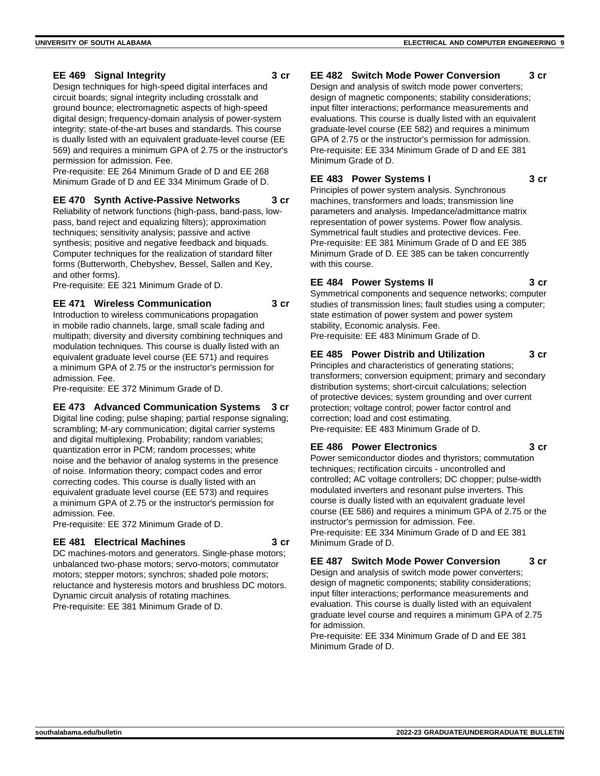Design techniques for high-speed digital interfaces and circuit boards; signal integrity including crosstalk and ground bounce; electromagnetic aspects of high-speed digital design; frequency-domain analysis of power-system integrity; state-of-the-art buses and standards. This course is dually listed with an equivalent graduate-level course (EE 569) and requires a minimum GPA of 2.75 or the instructor's permission for admission. Fee.

Pre-requisite: EE 264 Minimum Grade of D and EE 268 Minimum Grade of D and EE 334 Minimum Grade of D.

#### **EE 470 Synth Active-Passive Networks 3 cr**

Reliability of network functions (high-pass, band-pass, lowpass, band reject and equalizing filters); approximation techniques; sensitivity analysis; passive and active synthesis; positive and negative feedback and biquads. Computer techniques for the realization of standard filter forms (Butterworth, Chebyshev, Bessel, Sallen and Key, and other forms).

Pre-requisite: EE 321 Minimum Grade of D.

#### **EE 471 Wireless Communication 3 cr**

Introduction to wireless communications propagation in mobile radio channels, large, small scale fading and multipath; diversity and diversity combining techniques and modulation techniques. This course is dually listed with an equivalent graduate level course (EE 571) and requires a minimum GPA of 2.75 or the instructor's permission for admission. Fee.

Pre-requisite: EE 372 Minimum Grade of D.

## **EE 473 Advanced Communication Systems 3 cr**

Digital line coding; pulse shaping; partial response signaling; scrambling; M-ary communication; digital carrier systems and digital multiplexing. Probability; random variables; quantization error in PCM; random processes; white noise and the behavior of analog systems in the presence of noise. Information theory; compact codes and error correcting codes. This course is dually listed with an equivalent graduate level course (EE 573) and requires a minimum GPA of 2.75 or the instructor's permission for admission. Fee.

Pre-requisite: EE 372 Minimum Grade of D.

## **EE 481 Electrical Machines 3 cr**

DC machines-motors and generators. Single-phase motors; unbalanced two-phase motors; servo-motors; commutator motors; stepper motors; synchros; shaded pole motors; reluctance and hysteresis motors and brushless DC motors. Dynamic circuit analysis of rotating machines. Pre-requisite: EE 381 Minimum Grade of D.

## **EE 482 Switch Mode Power Conversion 3 cr**

Design and analysis of switch mode power converters; design of magnetic components; stability considerations; input filter interactions; performance measurements and evaluations. This course is dually listed with an equivalent graduate-level course (EE 582) and requires a minimum GPA of 2.75 or the instructor's permission for admission. Pre-requisite: EE 334 Minimum Grade of D and EE 381 Minimum Grade of D.

## **EE 483 Power Systems I 3 cr**

Principles of power system analysis. Synchronous machines, transformers and loads; transmission line parameters and analysis. Impedance/admittance matrix representation of power systems. Power flow analysis. Symmetrical fault studies and protective devices. Fee. Pre-requisite: EE 381 Minimum Grade of D and EE 385 Minimum Grade of D. EE 385 can be taken concurrently with this course.

## **EE 484 Power Systems II 3 cr**

Symmetrical components and sequence networks; computer studies of transmission lines; fault studies using a computer; state estimation of power system and power system stability, Economic analysis. Fee. Pre-requisite: EE 483 Minimum Grade of D.

## **EE 485 Power Distrib and Utilization 3 cr**

Principles and characteristics of generating stations; transformers; conversion equipment; primary and secondary distribution systems; short-circuit calculations; selection of protective devices; system grounding and over current protection; voltage control; power factor control and correction; load and cost estimating. Pre-requisite: EE 483 Minimum Grade of D.

## **EE 486 Power Electronics 3 cr**

Power semiconductor diodes and thyristors; commutation techniques; rectification circuits - uncontrolled and controlled; AC voltage controllers; DC chopper; pulse-width modulated inverters and resonant pulse inverters. This course is dually listed with an equivalent graduate level course (EE 586) and requires a minimum GPA of 2.75 or the instructor's permission for admission. Fee. Pre-requisite: EE 334 Minimum Grade of D and EE 381 Minimum Grade of D.

## **EE 487 Switch Mode Power Conversion 3 cr**

Design and analysis of switch mode power converters; design of magnetic components; stability considerations; input filter interactions; performance measurements and evaluation. This course is dually listed with an equivalent graduate level course and requires a minimum GPA of 2.75 for admission.

Pre-requisite: EE 334 Minimum Grade of D and EE 381 Minimum Grade of D.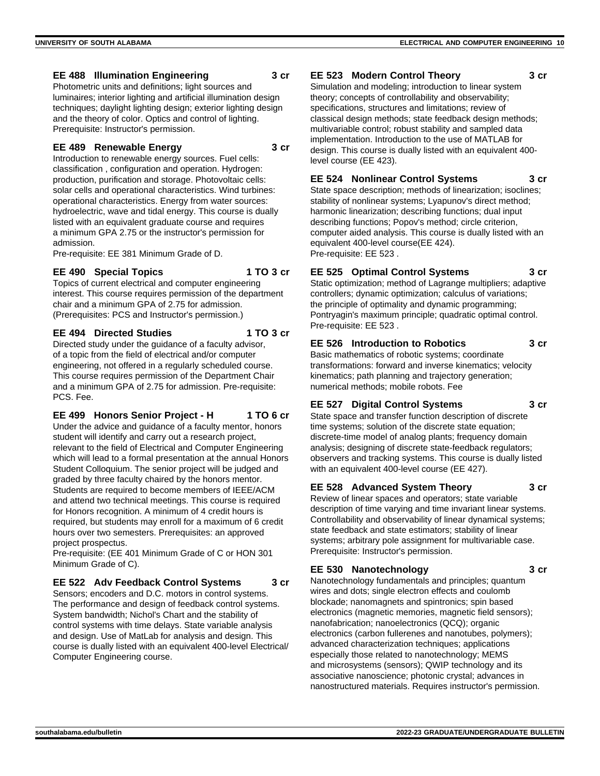#### **EE 488 Illumination Engineering 3 cr**

Photometric units and definitions; light sources and luminaires; interior lighting and artificial illumination design techniques; daylight lighting design; exterior lighting design and the theory of color. Optics and control of lighting. Prerequisite: Instructor's permission.

#### **EE 489 Renewable Energy 3 cr**

Introduction to renewable energy sources. Fuel cells: classification , configuration and operation. Hydrogen: production, purification and storage. Photovoltaic cells: solar cells and operational characteristics. Wind turbines: operational characteristics. Energy from water sources: hydroelectric, wave and tidal energy. This course is dually listed with an equivalent graduate course and requires a minimum GPA 2.75 or the instructor's permission for admission.

Pre-requisite: EE 381 Minimum Grade of D.

#### **EE 490 Special Topics 1 TO 3 cr**

Topics of current electrical and computer engineering interest. This course requires permission of the department chair and a minimum GPA of 2.75 for admission. (Prerequisites: PCS and Instructor's permission.)

#### **EE 494 Directed Studies 1 TO 3 cr**

Directed study under the guidance of a faculty advisor, of a topic from the field of electrical and/or computer engineering, not offered in a regularly scheduled course. This course requires permission of the Department Chair and a minimum GPA of 2.75 for admission. Pre-requisite: PCS. Fee.

#### **EE 499 Honors Senior Project - H 1 TO 6 cr**

Under the advice and guidance of a faculty mentor, honors student will identify and carry out a research project, relevant to the field of Electrical and Computer Engineering which will lead to a formal presentation at the annual Honors Student Colloquium. The senior project will be judged and graded by three faculty chaired by the honors mentor. Students are required to become members of IEEE/ACM and attend two technical meetings. This course is required for Honors recognition. A minimum of 4 credit hours is required, but students may enroll for a maximum of 6 credit hours over two semesters. Prerequisites: an approved project prospectus.

Pre-requisite: (EE 401 Minimum Grade of C or HON 301 Minimum Grade of C).

## **EE 522 Adv Feedback Control Systems 3 cr**

Sensors; encoders and D.C. motors in control systems. The performance and design of feedback control systems. System bandwidth; Nichol's Chart and the stability of control systems with time delays. State variable analysis and design. Use of MatLab for analysis and design. This course is dually listed with an equivalent 400-level Electrical/ Computer Engineering course.

## **EE 523 Modern Control Theory 3 cr**

Simulation and modeling; introduction to linear system theory; concepts of controllability and observability; specifications, structures and limitations; review of classical design methods; state feedback design methods; multivariable control; robust stability and sampled data implementation. Introduction to the use of MATLAB for design. This course is dually listed with an equivalent 400 level course (EE 423).

## **EE 524 Nonlinear Control Systems 3 cr**

State space description; methods of linearization; isoclines; stability of nonlinear systems; Lyapunov's direct method; harmonic linearization; describing functions; dual input describing functions; Popov's method; circle criterion, computer aided analysis. This course is dually listed with an equivalent 400-level course(EE 424). Pre-requisite: EE 523 .

## **EE 525 Optimal Control Systems 3 cr**

Static optimization; method of Lagrange multipliers; adaptive controllers; dynamic optimization; calculus of variations; the principle of optimality and dynamic programming; Pontryagin's maximum principle; quadratic optimal control. Pre-requisite: EE 523 .

## **EE 526 Introduction to Robotics 3 cr**

Basic mathematics of robotic systems; coordinate transformations: forward and inverse kinematics; velocity kinematics; path planning and trajectory generation; numerical methods; mobile robots. Fee

#### **EE 527 Digital Control Systems 3 cr**

State space and transfer function description of discrete time systems; solution of the discrete state equation; discrete-time model of analog plants; frequency domain analysis; designing of discrete state-feedback regulators; observers and tracking systems. This course is dually listed with an equivalent 400-level course (EE 427).

#### **EE 528 Advanced System Theory 3 cr**

Review of linear spaces and operators; state variable description of time varying and time invariant linear systems. Controllability and observability of linear dynamical systems; state feedback and state estimators; stability of linear systems; arbitrary pole assignment for multivariable case. Prerequisite: Instructor's permission.

#### **EE 530 Nanotechnology 3 cr**

Nanotechnology fundamentals and principles; quantum wires and dots; single electron effects and coulomb blockade; nanomagnets and spintronics; spin based electronics (magnetic memories, magnetic field sensors); nanofabrication; nanoelectronics (QCQ); organic electronics (carbon fullerenes and nanotubes, polymers); advanced characterization techniques; applications especially those related to nanotechnology; MEMS and microsystems (sensors); QWIP technology and its associative nanoscience; photonic crystal; advances in nanostructured materials. Requires instructor's permission.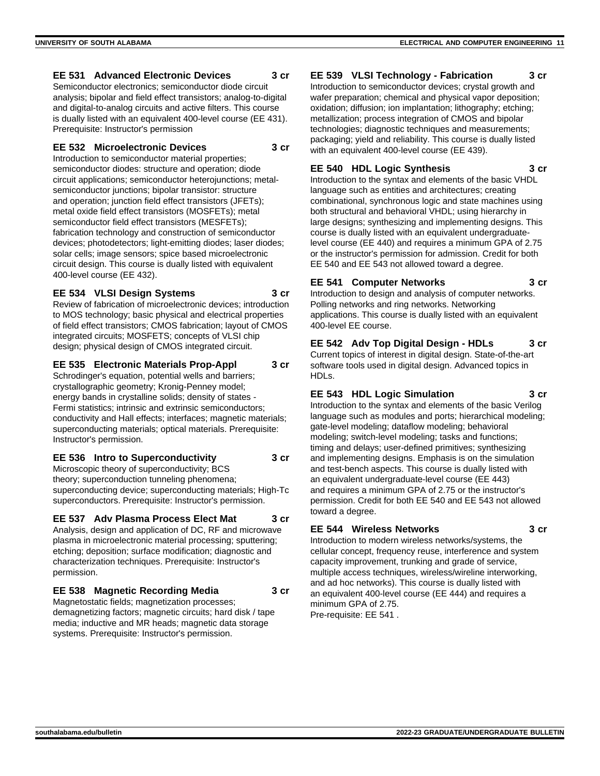#### **EE 531 Advanced Electronic Devices 3 cr**

Semiconductor electronics; semiconductor diode circuit analysis; bipolar and field effect transistors; analog-to-digital and digital-to-analog circuits and active filters. This course is dually listed with an equivalent 400-level course (EE 431). Prerequisite: Instructor's permission

#### **EE 532 Microelectronic Devices 3 cr**

Introduction to semiconductor material properties; semiconductor diodes: structure and operation; diode circuit applications; semiconductor heterojunctions; metalsemiconductor junctions; bipolar transistor: structure and operation; junction field effect transistors (JFETs); metal oxide field effect transistors (MOSFETs); metal semiconductor field effect transistors (MESFETs); fabrication technology and construction of semiconductor devices; photodetectors; light-emitting diodes; laser diodes; solar cells; image sensors; spice based microelectronic circuit design. This course is dually listed with equivalent 400-level course (EE 432).

#### **EE 534 VLSI Design Systems 3 cr**

Review of fabrication of microelectronic devices; introduction to MOS technology; basic physical and electrical properties of field effect transistors; CMOS fabrication; layout of CMOS integrated circuits; MOSFETS; concepts of VLSI chip design; physical design of CMOS integrated circuit.

#### **EE 535 Electronic Materials Prop-Appl 3 cr**

Schrodinger's equation, potential wells and barriers; crystallographic geometry; Kronig-Penney model; energy bands in crystalline solids; density of states - Fermi statistics; intrinsic and extrinsic semiconductors; conductivity and Hall effects; interfaces; magnetic materials; superconducting materials; optical materials. Prerequisite: Instructor's permission.

#### **EE 536 Intro to Superconductivity 3 cr**

Microscopic theory of superconductivity; BCS theory; superconduction tunneling phenomena; superconducting device; superconducting materials; High-Tc superconductors. Prerequisite: Instructor's permission.

#### **EE 537 Adv Plasma Process Elect Mat 3 cr**

Analysis, design and application of DC, RF and microwave plasma in microelectronic material processing; sputtering; etching; deposition; surface modification; diagnostic and characterization techniques. Prerequisite: Instructor's permission.

#### **EE 538 Magnetic Recording Media 3 cr**

Magnetostatic fields; magnetization processes; demagnetizing factors; magnetic circuits; hard disk / tape media; inductive and MR heads; magnetic data storage systems. Prerequisite: Instructor's permission.

#### **EE 539 VLSI Technology - Fabrication 3 cr**

Introduction to semiconductor devices; crystal growth and wafer preparation; chemical and physical vapor deposition; oxidation; diffusion; ion implantation; lithography; etching; metallization; process integration of CMOS and bipolar technologies; diagnostic techniques and measurements; packaging; yield and reliability. This course is dually listed with an equivalent 400-level course (EE 439).

#### **EE 540 HDL Logic Synthesis 3 cr**

Introduction to the syntax and elements of the basic VHDL language such as entities and architectures; creating combinational, synchronous logic and state machines using both structural and behavioral VHDL; using hierarchy in large designs; synthesizing and implementing designs. This course is dually listed with an equivalent undergraduatelevel course (EE 440) and requires a minimum GPA of 2.75 or the instructor's permission for admission. Credit for both EE 540 and EE 543 not allowed toward a degree.

## **EE 541 Computer Networks 3 cr**

Introduction to design and analysis of computer networks. Polling networks and ring networks. Networking applications. This course is dually listed with an equivalent 400-level EE course.

## **EE 542 Adv Top Digital Design - HDLs 3 cr**

Current topics of interest in digital design. State-of-the-art software tools used in digital design. Advanced topics in HDLs.

#### **EE 543 HDL Logic Simulation 3 cr**

Introduction to the syntax and elements of the basic Verilog language such as modules and ports; hierarchical modeling; gate-level modeling; dataflow modeling; behavioral modeling; switch-level modeling; tasks and functions; timing and delays; user-defined primitives; synthesizing and implementing designs. Emphasis is on the simulation and test-bench aspects. This course is dually listed with an equivalent undergraduate-level course (EE 443) and requires a minimum GPA of 2.75 or the instructor's permission. Credit for both EE 540 and EE 543 not allowed toward a degree.

#### **EE 544 Wireless Networks 3 cr**

Introduction to modern wireless networks/systems, the cellular concept, frequency reuse, interference and system capacity improvement, trunking and grade of service, multiple access techniques, wireless/wireline interworking, and ad hoc networks). This course is dually listed with an equivalent 400-level course (EE 444) and requires a minimum GPA of 2.75.

Pre-requisite: EE 541 .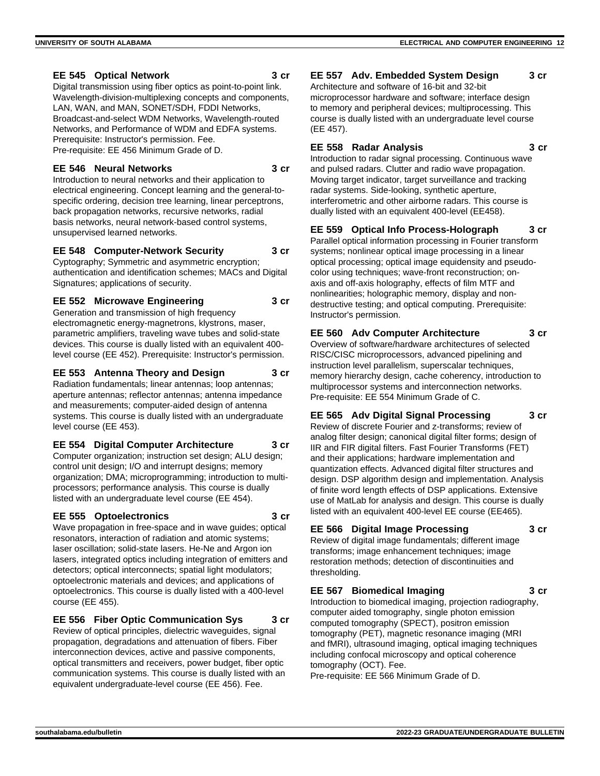#### **EE 545 Optical Network 3 cr**

Digital transmission using fiber optics as point-to-point link. Wavelength-division-multiplexing concepts and components, LAN, WAN, and MAN, SONET/SDH, FDDI Networks, Broadcast-and-select WDM Networks, Wavelength-routed Networks, and Performance of WDM and EDFA systems. Prerequisite: Instructor's permission. Fee. Pre-requisite: EE 456 Minimum Grade of D.

#### **EE 546 Neural Networks 3 cr**

Introduction to neural networks and their application to electrical engineering. Concept learning and the general-tospecific ordering, decision tree learning, linear perceptrons, back propagation networks, recursive networks, radial basis networks, neural network-based control systems, unsupervised learned networks.

#### **EE 548 Computer-Network Security 3 cr**

Cyptography; Symmetric and asymmetric encryption; authentication and identification schemes; MACs and Digital Signatures; applications of security.

#### **EE 552 Microwave Engineering 3 cr**

Generation and transmission of high frequency electromagnetic energy-magnetrons, klystrons, maser, parametric amplifiers, traveling wave tubes and solid-state devices. This course is dually listed with an equivalent 400 level course (EE 452). Prerequisite: Instructor's permission.

## **EE 553 Antenna Theory and Design 3 cr**

Radiation fundamentals; linear antennas; loop antennas; aperture antennas; reflector antennas; antenna impedance and measurements; computer-aided design of antenna systems. This course is dually listed with an undergraduate level course (EE 453).

#### **EE 554 Digital Computer Architecture 3 cr**

Computer organization; instruction set design; ALU design; control unit design; I/O and interrupt designs; memory organization; DMA; microprogramming; introduction to multiprocessors; performance analysis. This course is dually listed with an undergraduate level course (EE 454).

#### **EE 555 Optoelectronics 3 cr**

Wave propagation in free-space and in wave guides; optical resonators, interaction of radiation and atomic systems; laser oscillation; solid-state lasers. He-Ne and Argon ion lasers, integrated optics including integration of emitters and detectors; optical interconnects; spatial light modulators; optoelectronic materials and devices; and applications of optoelectronics. This course is dually listed with a 400-level course (EE 455).

**EE 556 Fiber Optic Communication Sys 3 cr**

Review of optical principles, dielectric waveguides, signal propagation, degradations and attenuation of fibers. Fiber interconnection devices, active and passive components, optical transmitters and receivers, power budget, fiber optic communication systems. This course is dually listed with an equivalent undergraduate-level course (EE 456). Fee.

#### **EE 557 Adv. Embedded System Design 3 cr**

Architecture and software of 16-bit and 32-bit microprocessor hardware and software; interface design to memory and peripheral devices; multiprocessing. This course is dually listed with an undergraduate level course (EE 457).

#### **EE 558 Radar Analysis 3 cr**

Introduction to radar signal processing. Continuous wave and pulsed radars. Clutter and radio wave propagation. Moving target indicator, target surveillance and tracking radar systems. Side-looking, synthetic aperture, interferometric and other airborne radars. This course is dually listed with an equivalent 400-level (EE458).

## **EE 559 Optical Info Process-Holograph 3 cr**

Parallel optical information processing in Fourier transform systems; nonlinear optical image processing in a linear optical processing; optical image equidensity and pseudocolor using techniques; wave-front reconstruction; onaxis and off-axis holography, effects of film MTF and nonlinearities; holographic memory, display and nondestructive testing; and optical computing. Prerequisite: Instructor's permission.

## **EE 560 Adv Computer Architecture 3 cr**

Overview of software/hardware architectures of selected RISC/CISC microprocessors, advanced pipelining and instruction level parallelism, superscalar techniques, memory hierarchy design, cache coherency, introduction to multiprocessor systems and interconnection networks. Pre-requisite: EE 554 Minimum Grade of C.

## **EE 565 Adv Digital Signal Processing 3 cr**

Review of discrete Fourier and z-transforms; review of analog filter design; canonical digital filter forms; design of IIR and FIR digital filters. Fast Fourier Transforms (FET) and their applications; hardware implementation and quantization effects. Advanced digital filter structures and design. DSP algorithm design and implementation. Analysis of finite word length effects of DSP applications. Extensive use of MatLab for analysis and design. This course is dually listed with an equivalent 400-level EE course (EE465).

## **EE 566 Digital Image Processing 3 cr**

Review of digital image fundamentals; different image transforms; image enhancement techniques; image restoration methods; detection of discontinuities and thresholding.

## **EE 567 Biomedical Imaging 3 cr**

Introduction to biomedical imaging, projection radiography, computer aided tomography, single photon emission computed tomography (SPECT), positron emission tomography (PET), magnetic resonance imaging (MRI and fMRI), ultrasound imaging, optical imaging techniques including confocal microscopy and optical coherence tomography (OCT). Fee.

Pre-requisite: EE 566 Minimum Grade of D.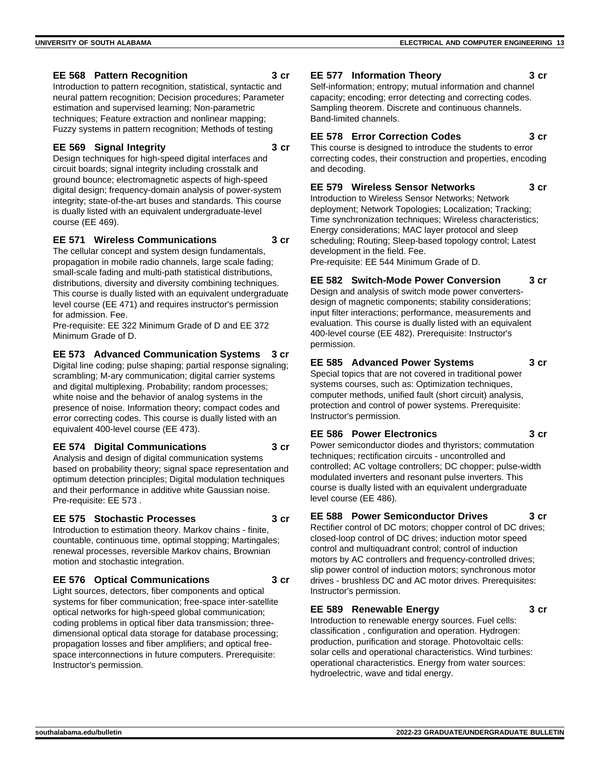#### **EE 568 Pattern Recognition 3 cr**

Introduction to pattern recognition, statistical, syntactic and neural pattern recognition; Decision procedures; Parameter estimation and supervised learning; Non-parametric techniques; Feature extraction and nonlinear mapping; Fuzzy systems in pattern recognition; Methods of testing

#### **EE 569 Signal Integrity 3 cr**

Design techniques for high-speed digital interfaces and circuit boards; signal integrity including crosstalk and ground bounce; electromagnetic aspects of high-speed digital design; frequency-domain analysis of power-system integrity; state-of-the-art buses and standards. This course is dually listed with an equivalent undergraduate-level course (EE 469).

## **EE 571 Wireless Communications 3 cr**

The cellular concept and system design fundamentals, propagation in mobile radio channels, large scale fading; small-scale fading and multi-path statistical distributions, distributions, diversity and diversity combining techniques. This course is dually listed with an equivalent undergraduate level course (EE 471) and requires instructor's permission for admission. Fee.

Pre-requisite: EE 322 Minimum Grade of D and EE 372 Minimum Grade of D.

#### **EE 573 Advanced Communication Systems 3 cr**

Digital line coding; pulse shaping; partial response signaling; scrambling; M-ary communication; digital carrier systems and digital multiplexing. Probability; random processes; white noise and the behavior of analog systems in the presence of noise. Information theory; compact codes and error correcting codes. This course is dually listed with an equivalent 400-level course (EE 473).

#### **EE 574 Digital Communications 3 cr**

Analysis and design of digital communication systems based on probability theory; signal space representation and optimum detection principles; Digital modulation techniques and their performance in additive white Gaussian noise. Pre-requisite: EE 573 .

#### **EE 575 Stochastic Processes 3 cr**

Introduction to estimation theory. Markov chains - finite, countable, continuous time, optimal stopping; Martingales; renewal processes, reversible Markov chains, Brownian motion and stochastic integration.

## **EE 576 Optical Communications 3 cr**

Light sources, detectors, fiber components and optical systems for fiber communication; free-space inter-satellite optical networks for high-speed global communication; coding problems in optical fiber data transmission; threedimensional optical data storage for database processing; propagation losses and fiber amplifiers; and optical freespace interconnections in future computers. Prerequisite: Instructor's permission.

## **EE 577 Information Theory 3 cr**

Self-information; entropy; mutual information and channel capacity; encoding; error detecting and correcting codes. Sampling theorem. Discrete and continuous channels. Band-limited channels.

## **EE 578 Error Correction Codes 3 cr**

This course is designed to introduce the students to error correcting codes, their construction and properties, encoding and decoding.

#### **EE 579 Wireless Sensor Networks 3 cr**

Introduction to Wireless Sensor Networks; Network deployment; Network Topologies; Localization; Tracking; Time synchronization techniques; Wireless characteristics; Energy considerations; MAC layer protocol and sleep scheduling; Routing; Sleep-based topology control; Latest development in the field. Fee. Pre-requisite: EE 544 Minimum Grade of D.

**EE 582 Switch-Mode Power Conversion 3 cr**

Design and analysis of switch mode power convertersdesign of magnetic components; stability considerations; input filter interactions; performance, measurements and evaluation. This course is dually listed with an equivalent 400-level course (EE 482). Prerequisite: Instructor's permission.

## **EE 585 Advanced Power Systems 3 cr**

Special topics that are not covered in traditional power systems courses, such as: Optimization techniques, computer methods, unified fault (short circuit) analysis, protection and control of power systems. Prerequisite: Instructor's permission.

## **EE 586 Power Electronics 3 cr**

Power semiconductor diodes and thyristors; commutation techniques; rectification circuits - uncontrolled and controlled; AC voltage controllers; DC chopper; pulse-width modulated inverters and resonant pulse inverters. This course is dually listed with an equivalent undergraduate level course (EE 486).

#### **EE 588 Power Semiconductor Drives 3 cr**

Rectifier control of DC motors; chopper control of DC drives; closed-loop control of DC drives; induction motor speed control and multiquadrant control; control of induction motors by AC controllers and frequency-controlled drives; slip power control of induction motors; synchronous motor drives - brushless DC and AC motor drives. Prerequisites: Instructor's permission.

#### **EE 589 Renewable Energy 3 cr**

Introduction to renewable energy sources. Fuel cells: classification , configuration and operation. Hydrogen: production, purification and storage. Photovoltaic cells: solar cells and operational characteristics. Wind turbines: operational characteristics. Energy from water sources: hydroelectric, wave and tidal energy.